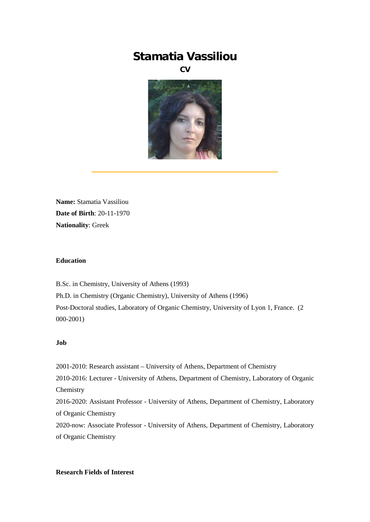# **Stamatia Vassiliou**

**CV**



**Name:** Stamatia Vassiliou **Date of Birth**: 20-11-1970 **Nationality**: Greek

# **Education**

B.Sc. in Chemistry, University of Athens (1993) Ph.D. in Chemistry (Organic Chemistry), University of Athens (1996) Post-Doctoral studies, Laboratory of Organic Chemistry, University of Lyon 1, France. (2 000-2001)

#### **Job**

2001-2010: Research assistant – University of Athens, Department of Chemistry 2010-2016: Lecturer - University of Athens, Department of Chemistry, Laboratory of Organic **Chemistry** 2016-2020: Assistant Professor - University of Athens, Department of Chemistry, Laboratory of Organic Chemistry 2020-now: Associate Professor - University of Athens, Department of Chemistry, Laboratory of Organic Chemistry

# **Research Fields of Interest**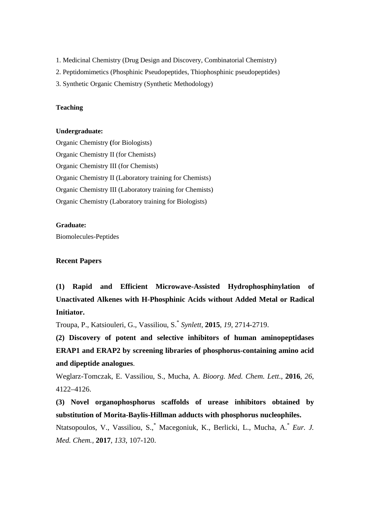- 1. Medicinal Chemistry (Drug Design and Discovery, Combinatorial Chemistry)
- 2. Peptidomimetics (Phosphinic Pseudopeptides, Thiophosphinic pseudopeptides)
- 3. Synthetic Organic Chemistry (Synthetic Methodology)

# **Teaching**

#### **Undergraduate:**

Organic Chemistry **(**for Biologists) Organic Chemistry II (for Chemists) Organic Chemistry III (for Chemists) Organic Chemistry II (Laboratory training for Chemists) Organic Chemistry III (Laboratory training for Chemists) Organic Chemistry (Laboratory training for Biologists)

### **Graduate:**

Biomolecules-Peptides

#### **Recent Papers**

**(1) Rapid and Efficient Microwave-Assisted Hydrophosphinylation of Unactivated Alkenes with H-Phosphinic Acids without Added Metal or Radical Initiator.**

Troupa, P., Katsiouleri, G., Vassiliou, S.\* *Synlett*, **2015**, *19*, 2714-2719.

**(2) Discovery of potent and selective inhibitors of human aminopeptidases ERAP1 and ERAP2 by screening libraries of phosphorus-containing amino acid and dipeptide analogues**.

Weglarz-Tomczak, E. Vassiliou, S., Mucha, A. *Bioorg. Med. Chem. Lett*., **2016**, *26*, 4122–4126.

**(3) Novel organophosphorus scaffolds of urease inhibitors obtained by substitution of Morita-Baylis-Hillman adducts with phosphorus nucleophiles.**

Ntatsopoulos, V., Vassiliou, S.,\* Macegoniuk, K., Berlicki, L., Mucha, A.\* *Eur. J. Med. Chem.,* **2017***, 133*, 107-120.